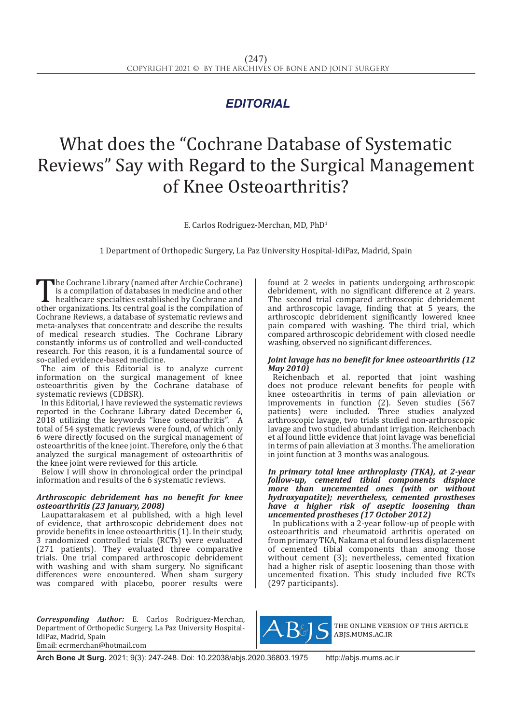# *EDITORIAL*

# What does the "Cochrane Database of Systematic Reviews" Say with Regard to the Surgical Management of Knee Osteoarthritis?

E. Carlos Rodriguez-Merchan, MD, PhD1

1 Department of Orthopedic Surgery, La Paz University Hospital-IdiPaz, Madrid, Spain

The Cochrane Library (named after Archie Cochrane)<br>is a compilation of databases in medicine and other<br>healthcare specialties established by Cochrane and<br>other organizations. Its central goal is the compilation of<br>Cochrane is a compilation of databases in medicine and other healthcare specialties established by Cochrane and other organizations. Its central goal is the compilation of Cochrane Reviews, a database of systematic reviews and meta-analyses that concentrate and describe the results of medical research studies. The Cochrane Library constantly informs us of controlled and well-conducted research. For this reason, it is a fundamental source of so-called evidence-based medicine.

The aim of this Editorial is to analyze current information on the surgical management of knee osteoarthritis given by the Cochrane database of systematic reviews (CDBSR).

In this Editorial, I have reviewed the systematic reviews reported in the Cochrane Library dated December 6, 2018 utilizing the keywords "knee osteoarthritis". A total of 54 systematic reviews were found, of which only 6 were directly focused on the surgical management of osteoarthritis of the knee joint. Therefore, only the 6 that analyzed the surgical management of osteoarthritis of the knee joint were reviewed for this article.

Below I will show in chronological order the principal information and results of the 6 systematic reviews.

### *Arthroscopic debridement has no benefit for knee osteoarthritis (23 January, 2008)*

Laupattarakasem et al published, with a high level of evidence, that arthroscopic debridement does not provide benefits in knee osteoarthritis (1). In their study, 3 randomized controlled trials (RCTs) were evaluated (271 patients). They evaluated three comparative trials. One trial compared arthroscopic debridement with washing and with sham surgery. No significant differences were encountered. When sham surgery was compared with placebo, poorer results were

*Corresponding Author:* E. Carlos Rodriguez-Merchan, Department of Orthopedic Surgery, La Paz University Hospital-IdiPaz, Madrid, Spain Email: ecrmerchan@hotmail.com

found at 2 weeks in patients undergoing arthroscopic debridement, with no significant difference at 2 years. The second trial compared arthroscopic debridement and arthroscopic lavage, finding that at 5 years, the arthroscopic debridement significantly lowered knee pain compared with washing. The third trial, which compared arthroscopic debridement with closed needle washing, observed no significant differences.

#### *Joint lavage has no benefit for knee osteoarthritis (12 May 2010)*

Reichenbach et al. reported that joint washing does not produce relevant benefits for people with knee osteoarthritis in terms of pain alleviation or improvements in function (2). Seven studies (567 patients) were included. Three studies analyzed arthroscopic lavage, two trials studied non-arthroscopic lavage and two studied abundant irrigation. Reichenbach et al found little evidence that joint lavage was beneficial in terms of pain alleviation at 3 months. The amelioration in joint function at 3 months was analogous.

#### *In primary total knee arthroplasty (TKA), at 2-year follow-up, cemented tibial components displace more than uncemented ones (with or without hydroxyapatite); nevertheless, cemented prostheses have a higher risk of aseptic loosening than uncemented prostheses (17 October 2012)*

In publications with a 2-year follow-up of people with osteoarthritis and rheumatoid arthritis operated on from primary TKA, Nakama et al found less displacement of cemented tibial components than among those without cement (3); nevertheless, cemented fixation had a higher risk of aseptic loosening than those with uncemented fixation. This study included five RCTs (297 participants).



the online version of this article abjs.mums.ac.ir

**Arch Bone Jt Surg.** 2021; 9(3): 247-248. Doi: 10.22038/abjs.2020.36803.1975 http://abjs.mums.ac.ir